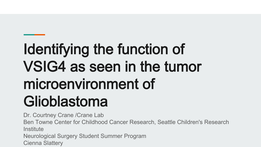# Identifying the function of VSIG4 as seen in the tumor microenvironment of Glioblastoma

Dr. Courtney Crane /Crane Lab

Ben Towne Center for Childhood Cancer Research, Seattle Children's Research **Institute** 

Neurological Surgery Student Summer Program

Cienna Slattery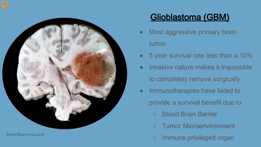

Scientificamerica.com

### Glioblastoma (GBM)

- Most aggressive primary brain tumor
- 5 year survival rate less than a 10%
- Invasive nature makes it impossible to completely remove surgically
- Immunotherapies have failed to provide a survival benefit due to
	- Blood Brain Barrier
	- **Tumor Microenvironment**
	- Immune privileged organ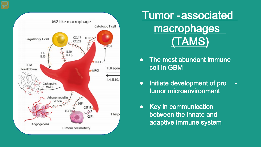

## Tumor -associated **macrophages** (TAMS)

- The most abundant immune cell in GBM
- Initiate development of pro tumor microenvironment
- Key in communication between the innate and adaptive immune system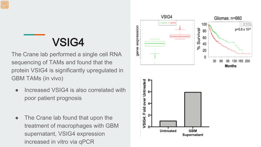### VSIG4

The Crane lab performed a single cell RNA sequencing of TAMs and found that the protein VSIG4 is significantly upregulated in GBM TAMs (in vivo)

- Increased VSIG4 is also correlated with poor patient prognosis
- The Crane lab found that upon the treatment of macrophages with GBM supernatant, VSIG4 expression increased in vitro via qPCR



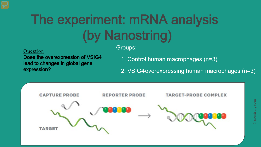# The experiment: mRNA analysis (by Nanostring)

#### Question

Does the overexpression of VSIG4 lead to changes in global gene expression?

#### Groups:

- 1. Control human macrophages (n=3)
- 2. VSIG4 overexpressing human macrophages (n=3)

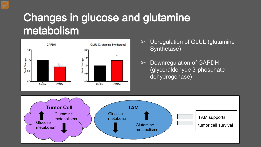# Changes in glucose and glutamine metabolism



- $\triangleright$  Upregulation of GLUL (glutamine Synthetase)
- $\triangleright$  Downregulation of GAPDH (glyceraldehyde-3-phosphate dehydrogenase)

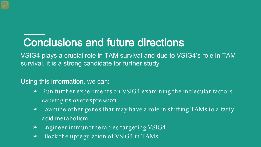## Conclusions and future directions

VSIG4 plays a crucial role in TAM survival and due to VSIG4's role in TAM survival, it is a strong candidate for further study

Using this information, we can:

- $\triangleright$  Run further experiments on VSIG4 examining the molecular factors causing its overexpression
- $\triangleright$  Examine other genes that may have a role in shifting TAMs to a fatty acid metabolism
- $\triangleright$  Engineer immunotherapies targeting VSIG4
- $\triangleright$  Block the upregulation of VSIG4 in TAMs